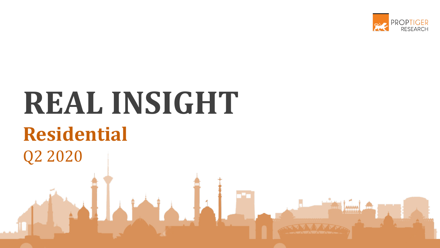

# **REAL INSIGHT Residential** Q2 2020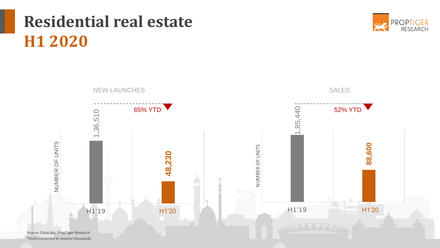## **Residential real estate H1 2020**





*\*Units converted to nearest thousands*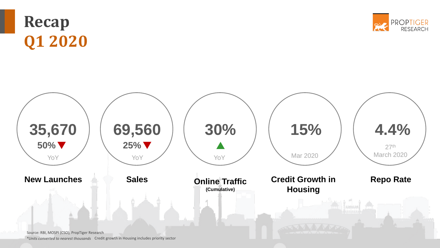## **Recap Q1 2020**





*\*Units converted to nearest thousands*  Credit growth in Housing includes priority sector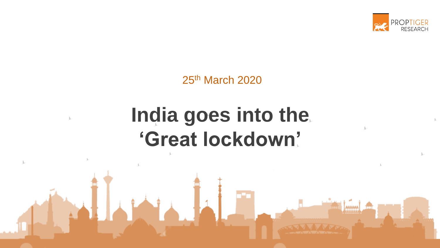

25th March 2020

## **India goes into the 'Great lockdown'**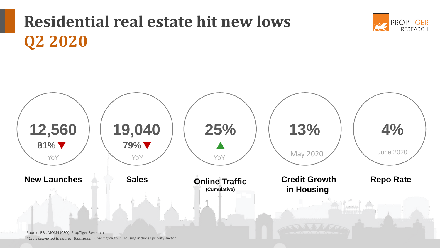## **Residential real estate hit new lows Q2 2020**



**PROPTIGER** 

RESEARCH

*\*Units converted to nearest thousands* Credit growth in Housing includes priority sector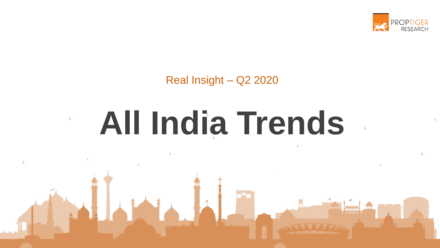

# **All India Trends**

**ALL** 

j.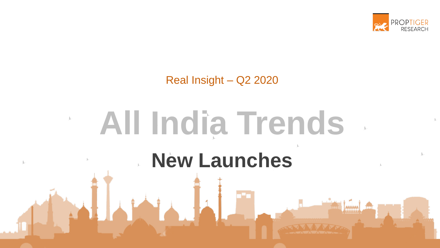

# **New Launches All India Trends**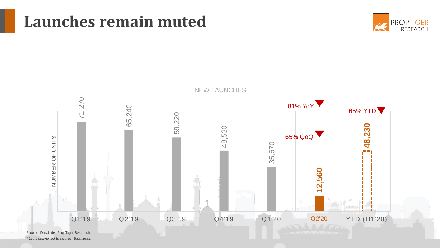

### **Launches remain muted**



*\*Units converted to nearest thousands*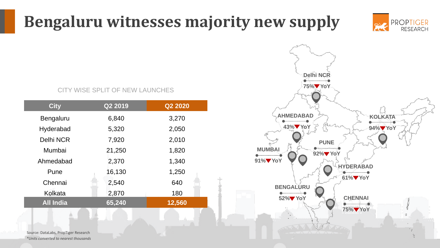## **Bengaluru witnesses majority new supply**



#### CITY WISE SPLIT OF NEW LAUNCHES

| <b>City</b>      | Q2 2019 | Q2 2020 |
|------------------|---------|---------|
| Bengaluru        | 6,840   | 3,270   |
| Hyderabad        | 5,320   | 2,050   |
| <b>Delhi NCR</b> | 7,920   | 2,010   |
| Mumbai           | 21,250  | 1,820   |
| Ahmedabad        | 2,370   | 1,340   |
| Pune             | 16,130  | 1,250   |
| Chennai          | 2,540   | 640     |
| Kolkata          | 2,870   | 180     |
| <b>All India</b> | 65,240  | 12,560  |



Source: DataLabs, PropTiger Research *\*Units converted to nearest thousands*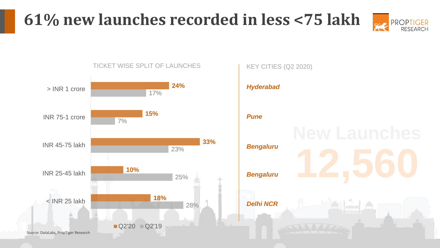## **61% new launches recorded in less <75 lakh**





#### TICKET WISE SPLIT OF LAUNCHES

#### KEY CITIES (Q2 2020)



#### *Pune*

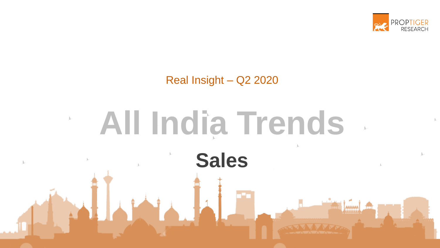

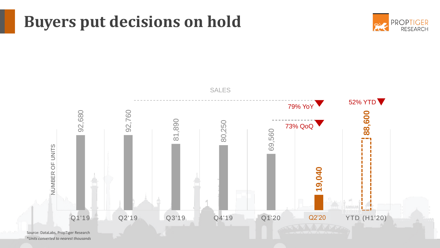## **Buyers put decisions on hold**





*\*Units converted to nearest thousands*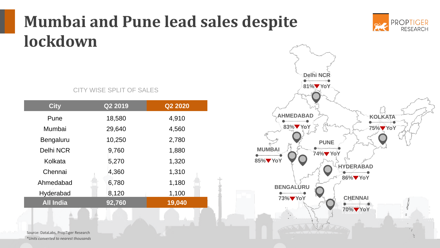## **Mumbai and Pune lead sales despite lockdown**

#### CITY WISE SPLIT OF SALES

| <b>City</b>      | Q2 2019 | Q2 2020 |
|------------------|---------|---------|
|                  |         |         |
| Pune             | 18,580  | 4,910   |
| Mumbai           | 29,640  | 4,560   |
| Bengaluru        | 10,250  | 2,780   |
| <b>Delhi NCR</b> | 9,760   | 1,880   |
| Kolkata          | 5,270   | 1,320   |
| Chennai          | 4,360   | 1,310   |
| Ahmedabad        | 6,780   | 1,180   |
| Hyderabad        | 8,120   | 1,100   |
| <b>All India</b> | 92,760  | 19,040  |



**PROPTIGER** 

**RESEARCH** 

Source: DataLabs, PropTiger Research *\*Units converted to nearest thousands*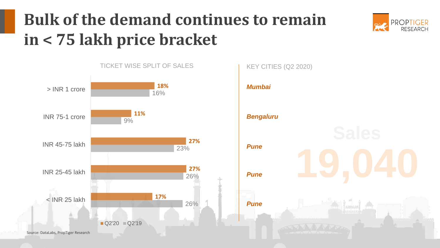## **Bulk of the demand continues to remain in < 75 lakh price bracket**





*Mumbai Bengaluru Pune Pune Pune* KEY CITIES (Q2 2020)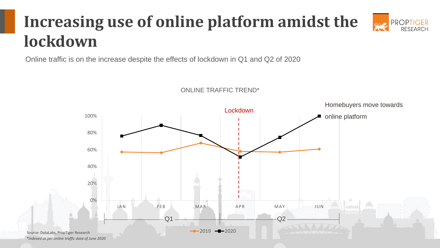#### **Increasing use of online platform amidst the PROPTIGER lockdown**

ONLINE TRAFFIC TREND\*

Online traffic is on the increase despite the effects of lockdown in Q1 and Q2 of 2020



RESEARCH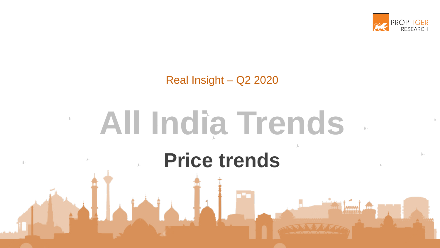

## **All India Trends** $\int_{\mathbb{R}^{n-1}}$ **Price trends**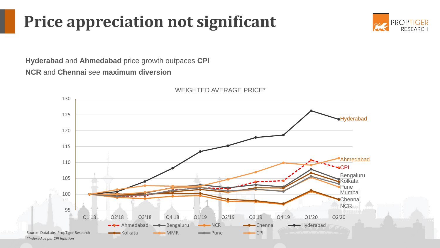## **Price appreciation not significant**



**Hyderabad** and **Ahmedabad** price growth outpaces **CPI NCR** and **Chennai** see **maximum diversion** 

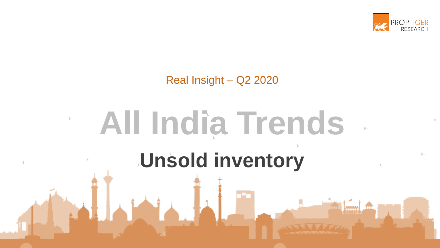

# **Unsold inventory All India Trends**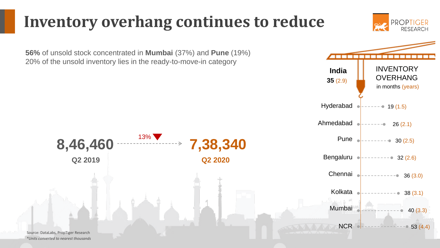### **Inventory overhang continues to reduce**

**56%** of unsold stock concentrated in **Mumbai** (37%) and **Pune** (19%) 20% of the unsold inventory lies in the ready-to-move-in category



**PROPTIGER** RESEARCH

Source: DataLabs, PropTiger Research *\*Units converted to nearest thousands*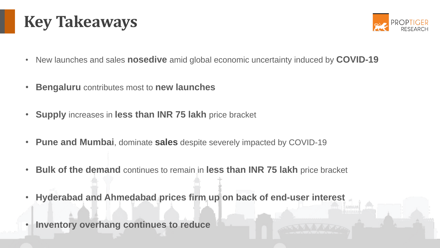



- New launches and sales **nosedive** amid global economic uncertainty induced by **COVID-19**
- **Bengaluru** contributes most to **new launches**
- **Supply** increases in **less than INR 75 lakh** price bracket
- **Pune and Mumbai**, dominate **sales** despite severely impacted by COVID-19
- **Bulk of the demand** continues to remain in **less than INR 75 lakh** price bracket
- **Hyderabad and Ahmedabad prices firm up on back of end-user interest**
- **Inventory overhang continues to reduce**